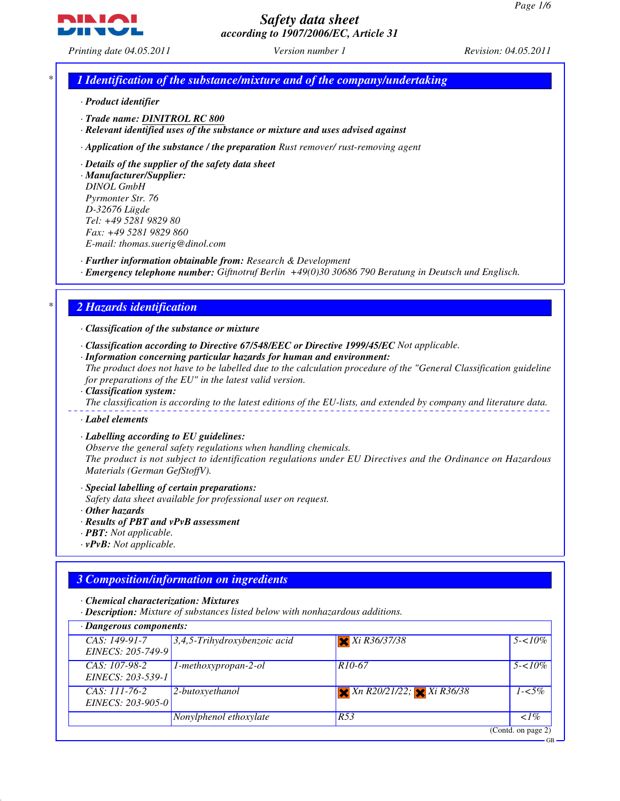GB



# *Safety data sheet according to 1907/2006/EC, Article 31*

*Printing date 04.05.2011 Version number 1 Revision: 04.05.2011*

## *\* 1 Identification of the substance/mixture and of the company/undertaking*

- *· Product identifier*
- *· Trade name: DINITROL RC 800*

*· Relevant identified uses of the substance or mixture and uses advised against*

*· Application of the substance / the preparation Rust remover/ rust-removing agent*

#### *· Details of the supplier of the safety data sheet*

*· Manufacturer/Supplier: DINOL GmbH Pyrmonter Str. 76 D-32676 Lügde Tel: +49 5281 9829 80 Fax: +49 5281 9829 860 E-mail: thomas.suerig@dinol.com*

*· Further information obtainable from: Research & Development*

*· Emergency telephone number: Giftnotruf Berlin +49(0)30 30686 790 Beratung in Deutsch und Englisch.*

#### *\* 2 Hazards identification*

*· Classification of the substance or mixture*

- *· Classification according to Directive 67/548/EEC or Directive 1999/45/EC Not applicable.*
- *· Information concerning particular hazards for human and environment:*

*The product does not have to be labelled due to the calculation procedure of the "General Classification guideline for preparations of the EU" in the latest valid version.*

*· Classification system:*

*The classification is according to the latest editions of the EU-lists, and extended by company and literature data.*

*· Label elements*

*· Labelling according to EU guidelines:*

*Observe the general safety regulations when handling chemicals. The product is not subject to identification regulations under EU Directives and the Ordinance on Hazardous Materials (German GefStoffV).*

*· Special labelling of certain preparations:*

*Safety data sheet available for professional user on request.*

- *· Other hazards*
- *· Results of PBT and vPvB assessment*
- *· PBT: Not applicable.*
- *· vPvB: Not applicable.*

## *3 Composition/information on ingredients*

*· Chemical characterization: Mixtures*

*· Description: Mixture of substances listed below with nonhazardous additions.*

| $\cdot$ Dangerous components:        |                                 |                                           |                    |
|--------------------------------------|---------------------------------|-------------------------------------------|--------------------|
| CAS: 149-91-7<br>EINECS: 205-749-9   | $3,4,5$ -Trihydroxybenzoic acid | $X$ Xi R36/37/38                          | $5 - 10\%$         |
| $CAS: 107-98-2$<br>EINECS: 203-539-1 | 1-methoxypropan-2-ol            | R <sub>10</sub> -67                       | $5 - 10\%$         |
| $CAS: 111-76-2$<br>EINECS: 203-905-0 | 2-butoxyethanol                 | $X \times K$ 20/21/22; $X \times K$ 36/38 | $1 - 5\%$          |
|                                      | Nonylphenol ethoxylate          | R53                                       | $1\%$              |
|                                      |                                 |                                           | (Contd. on page 2) |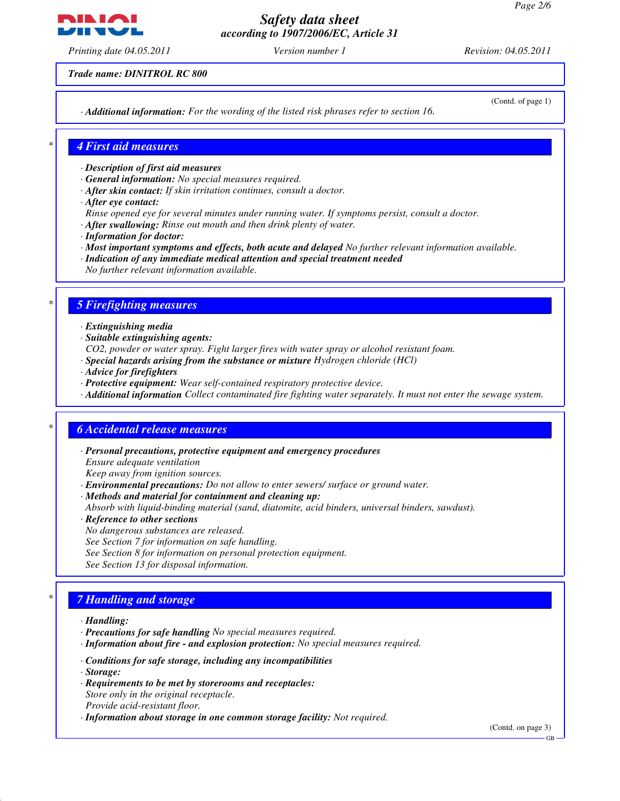*Printing date 04.05.2011 Version number 1 Revision: 04.05.2011*

*Trade name: DINITROL RC 800*

*· Additional information: For the wording of the listed risk phrases refer to section 16.*

(Contd. of page 1)

#### *\* 4 First aid measures*

- *· Description of first aid measures*
- *· General information: No special measures required.*
- *· After skin contact: If skin irritation continues, consult a doctor.*
- *· After eye contact:*
- *Rinse opened eye for several minutes under running water. If symptoms persist, consult a doctor.*
- *· After swallowing: Rinse out mouth and then drink plenty of water.*
- *· Information for doctor:*
- *· Most important symptoms and effects, both acute and delayed No further relevant information available.*
- *· Indication of any immediate medical attention and special treatment needed*
- *No further relevant information available.*

## *\* 5 Firefighting measures*

- *· Extinguishing media*
- *· Suitable extinguishing agents:*
- *CO2, powder or water spray. Fight larger fires with water spray or alcohol resistant foam.*
- *· Special hazards arising from the substance or mixture Hydrogen chloride (HCl)*
- *· Advice for firefighters*
- *· Protective equipment: Wear self-contained respiratory protective device.*
- *· Additional information Collect contaminated fire fighting water separately. It must not enter the sewage system.*

## *\* 6 Accidental release measures*

- *· Personal precautions, protective equipment and emergency procedures Ensure adequate ventilation Keep away from ignition sources.*
- *· Environmental precautions: Do not allow to enter sewers/ surface or ground water.*
- *· Methods and material for containment and cleaning up:*

*Absorb with liquid-binding material (sand, diatomite, acid binders, universal binders, sawdust).*

- *· Reference to other sections*
- *No dangerous substances are released.*
- *See Section 7 for information on safe handling.*
- *See Section 8 for information on personal protection equipment.*
- *See Section 13 for disposal information.*

## *\* 7 Handling and storage*

- *· Handling:*
- *· Precautions for safe handling No special measures required.*
- *· Information about fire and explosion protection: No special measures required.*
- *· Conditions for safe storage, including any incompatibilities*
- *· Storage:*
- *· Requirements to be met by storerooms and receptacles: Store only in the original receptacle. Provide acid-resistant floor.*
- *· Information about storage in one common storage facility: Not required.*

(Contd. on page 3)

GB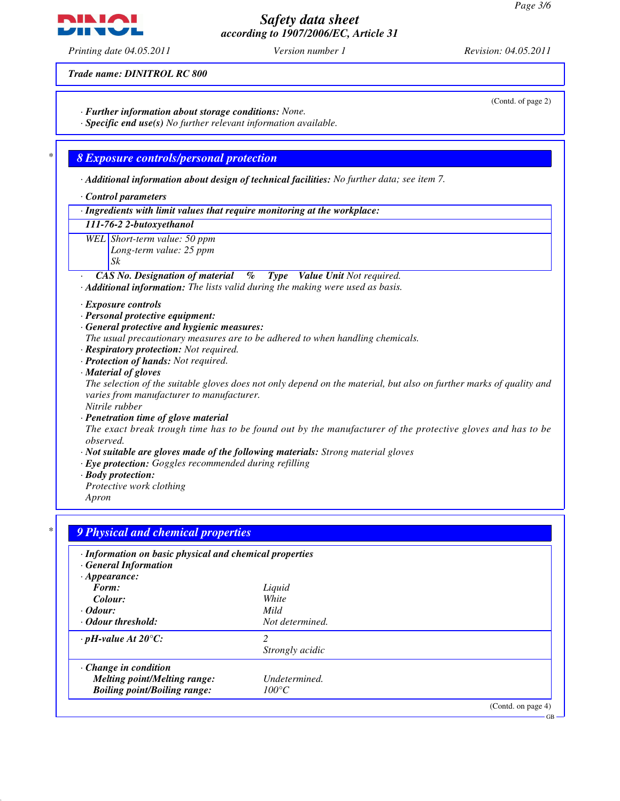*Printing date 04.05.2011 Version number 1 Revision: 04.05.2011*

*Trade name: DINITROL RC 800*

*· Further information about storage conditions: None. · Specific end use(s) No further relevant information available.*

## *\* 8 Exposure controls/personal protection*

*· Additional information about design of technical facilities: No further data; see item 7.*

*· Control parameters*

*· Ingredients with limit values that require monitoring at the workplace:*

*111-76-2 2-butoxyethanol*

*WEL Short-term value: 50 ppm*

*Long-term value: 25 ppm*

*Sk*

*· CAS No. Designation of material % Type Value Unit Not required.*

*· Additional information: The lists valid during the making were used as basis.*

*· Exposure controls*

- *· Personal protective equipment:*
- *· General protective and hygienic measures:*
- *The usual precautionary measures are to be adhered to when handling chemicals.*
- *· Respiratory protection: Not required.*
- *· Protection of hands: Not required.*

#### *· Material of gloves*

*The selection of the suitable gloves does not only depend on the material, but also on further marks of quality and varies from manufacturer to manufacturer.*

*Nitrile rubber*

*· Penetration time of glove material*

*The exact break trough time has to be found out by the manufacturer of the protective gloves and has to be observed.*

- *· Not suitable are gloves made of the following materials: Strong material gloves*
- *· Eye protection: Goggles recommended during refilling*
- *· Body protection:*
- *Protective work clothing*
- *Apron*

| · Information on basic physical and chemical properties<br>· General Information |                          |  |
|----------------------------------------------------------------------------------|--------------------------|--|
| $\cdot$ Appearance:                                                              |                          |  |
| Form:                                                                            | Liquid                   |  |
| Colour:                                                                          | White                    |  |
| $\cdot$ Odour:                                                                   | Mild                     |  |
| • Odour threshold:                                                               | Not determined.          |  |
| $\cdot$ pH-value At 20 $\degree$ C:                                              | $\overline{\mathcal{L}}$ |  |
|                                                                                  | Strongly acidic          |  |
| $\cdot$ Change in condition                                                      |                          |  |
| <b>Melting point/Melting range:</b>                                              | Undetermined.            |  |
| <b>Boiling point/Boiling range:</b>                                              | $100^{\circ}C$           |  |



**NINIAI** 

(Contd. of page 2)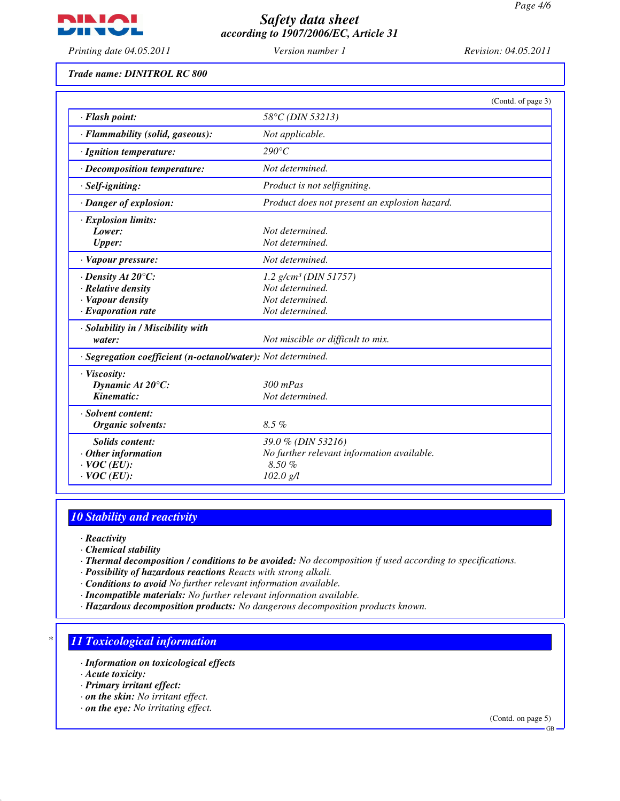

*Printing date 04.05.2011 Version number 1 Revision: 04.05.2011*

*Trade name: DINITROL RC 800*

|                                                              | (Contd. of page 3)                            |
|--------------------------------------------------------------|-----------------------------------------------|
| · Flash point:                                               | 58°C (DIN 53213)                              |
| · Flammability (solid, gaseous):                             | Not applicable.                               |
| · Ignition temperature:                                      | $290^{\circ}C$                                |
| · Decomposition temperature:                                 | Not determined.                               |
| · Self-igniting:                                             | Product is not selfigniting.                  |
| · Danger of explosion:                                       | Product does not present an explosion hazard. |
| · Explosion limits:                                          |                                               |
| Lower:                                                       | Not determined.                               |
| <b>Upper:</b>                                                | Not determined.                               |
| · Vapour pressure:                                           | Not determined.                               |
| $\cdot$ Density At 20 $\degree$ C:                           | 1.2 $g/cm^3$ (DIN 51757)                      |
| · Relative density                                           | Not determined.                               |
| · Vapour density                                             | Not determined.                               |
| $\cdot$ Evaporation rate                                     | Not determined.                               |
| · Solubility in / Miscibility with                           |                                               |
| water:                                                       | Not miscible or difficult to mix.             |
| · Segregation coefficient (n-octanol/water): Not determined. |                                               |
| · Viscosity:                                                 |                                               |
| Dynamic At 20°C:                                             | $300$ mPas                                    |
| Kinematic:                                                   | Not determined.                               |
| · Solvent content:                                           |                                               |
| Organic solvents:                                            | $8.5\%$                                       |
| <b>Solids content:</b>                                       | 39.0 % (DIN 53216)                            |
| $·$ Other information                                        | No further relevant information available.    |
| $\cdot$ VOC (EU):                                            | 8.50%                                         |
| $\cdot$ VOC (EU):                                            | 102.0 g/l                                     |

## *10 Stability and reactivity*

- *· Reactivity*
- *· Chemical stability*
- *· Thermal decomposition / conditions to be avoided: No decomposition if used according to specifications.*
- *· Possibility of hazardous reactions Reacts with strong alkali.*
- *· Conditions to avoid No further relevant information available.*
- *· Incompatible materials: No further relevant information available.*
- *· Hazardous decomposition products: No dangerous decomposition products known.*

## *\* 11 Toxicological information*

- *· Information on toxicological effects*
- *· Acute toxicity:*
- *· Primary irritant effect:*
- *· on the skin: No irritant effect.*
- *· on the eye: No irritating effect.*

(Contd. on page 5)

GB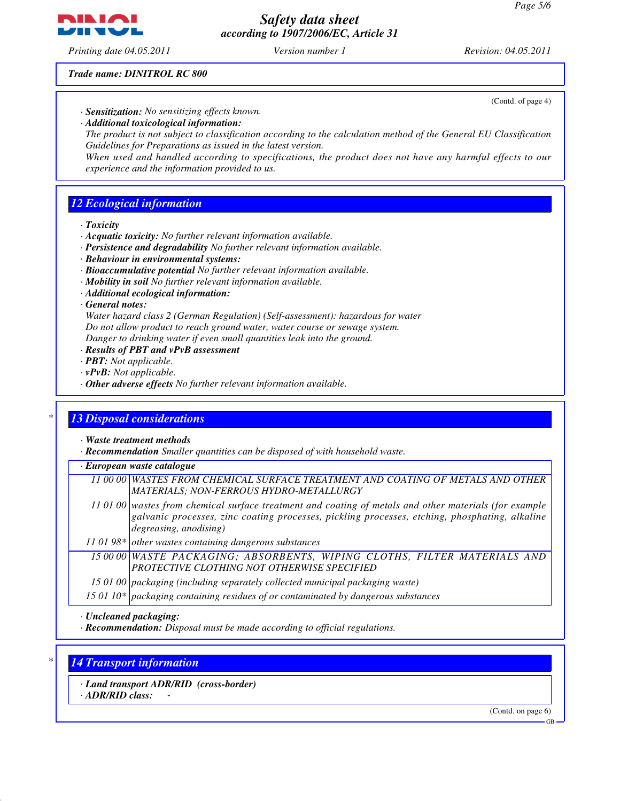*Printing date 04.05.2011 Version number 1 Revision: 04.05.2011*

*Trade name: DINITROL RC 800*

- *· Sensitization: No sensitizing effects known. · Additional toxicological information:*
	- *The product is not subject to classification according to the calculation method of the General EU Classification Guidelines for Preparations as issued in the latest version.*

*When used and handled according to specifications, the product does not have any harmful effects to our experience and the information provided to us.*

## *12 Ecological information*

*· Toxicity*

- *· Acquatic toxicity: No further relevant information available.*
- *· Persistence and degradability No further relevant information available.*
- *· Behaviour in environmental systems:*
- *· Bioaccumulative potential No further relevant information available.*
- *· Mobility in soil No further relevant information available.*
- *· Additional ecological information:*

#### *· General notes:*

*Water hazard class 2 (German Regulation) (Self-assessment): hazardous for water Do not allow product to reach ground water, water course or sewage system. Danger to drinking water if even small quantities leak into the ground.*

- *· Results of PBT and vPvB assessment*
- *· PBT: Not applicable.*
- *· vPvB: Not applicable.*
- *· Other adverse effects No further relevant information available.*

## *\* 13 Disposal considerations*

*· Waste treatment methods*

*· Recommendation Smaller quantities can be disposed of with household waste.*

*· European waste catalogue*

*11 00 00 WASTES FROM CHEMICAL SURFACE TREATMENT AND COATING OF METALS AND OTHER MATERIALS; NON-FERROUS HYDRO-METALLURGY*

- *11 01 00 wastes from chemical surface treatment and coating of metals and other materials (for example galvanic processes, zinc coating processes, pickling processes, etching, phosphating, alkaline degreasing, anodising)*
- *11 01 98\* other wastes containing dangerous substances*

*15 00 00 WASTE PACKAGING; ABSORBENTS, WIPING CLOTHS, FILTER MATERIALS AND PROTECTIVE CLOTHING NOT OTHERWISE SPECIFIED*

*15 01 00 packaging (including separately collected municipal packaging waste)*

*15 01 10\* packaging containing residues of or contaminated by dangerous substances*

*· Uncleaned packaging:*

*· Recommendation: Disposal must be made according to official regulations.*

## *\* 14 Transport information*

*· Land transport ADR/RID (cross-border)*

*· ADR/RID class: -* 

(Contd. on page 6)



(Contd. of page 4)

GB